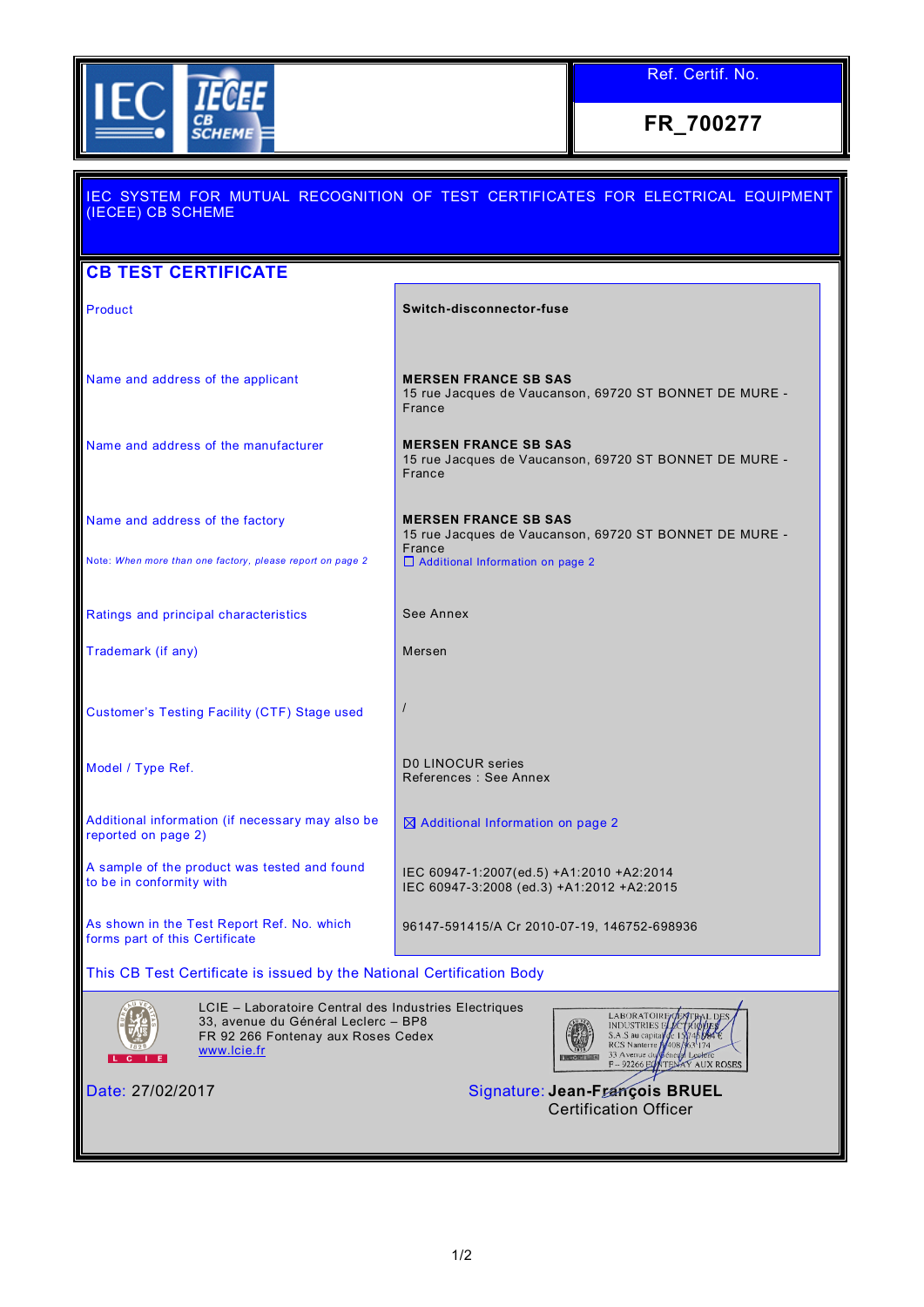

Ref. Certif. No.

**FR\_700277**

Ι

| IEC SYSTEM FOR MUTUAL RECOGNITION OF TEST CERTIFICATES FOR ELECTRICAL EQUIPMENT<br>(IECEE) CB SCHEME                                              |                                                                                                            |  |  |  |
|---------------------------------------------------------------------------------------------------------------------------------------------------|------------------------------------------------------------------------------------------------------------|--|--|--|
| <b>CB TEST CERTIFICATE</b>                                                                                                                        |                                                                                                            |  |  |  |
| Product                                                                                                                                           | Switch-disconnector-fuse                                                                                   |  |  |  |
| Name and address of the applicant                                                                                                                 | <b>MERSEN FRANCE SB SAS</b><br>15 rue Jacques de Vaucanson, 69720 ST BONNET DE MURE -<br>France            |  |  |  |
| Name and address of the manufacturer                                                                                                              | <b>MERSEN FRANCE SB SAS</b><br>15 rue Jacques de Vaucanson, 69720 ST BONNET DE MURE -<br>France            |  |  |  |
| Name and address of the factory                                                                                                                   | <b>MERSEN FRANCE SB SAS</b><br>15 rue Jacques de Vaucanson, 69720 ST BONNET DE MURE -<br>France            |  |  |  |
| Note: When more than one factory, please report on page 2                                                                                         | □ Additional Information on page 2                                                                         |  |  |  |
| Ratings and principal characteristics                                                                                                             | See Annex                                                                                                  |  |  |  |
| Trademark (if any)                                                                                                                                | Mersen                                                                                                     |  |  |  |
| Customer's Testing Facility (CTF) Stage used                                                                                                      |                                                                                                            |  |  |  |
| Model / Type Ref.                                                                                                                                 | D0 LINOCUR series<br>References : See Annex                                                                |  |  |  |
| Additional information (if necessary may also be<br>reported on page 2)                                                                           | $\boxtimes$ Additional Information on page 2                                                               |  |  |  |
| A sample of the product was tested and found<br>to be in conformity with                                                                          | IEC 60947-1:2007(ed.5) +A1:2010 +A2:2014<br>IEC 60947-3:2008 (ed.3) +A1:2012 +A2:2015                      |  |  |  |
| As shown in the Test Report Ref. No. which<br>forms part of this Certificate                                                                      | 96147-591415/A Cr 2010-07-19, 146752-698936                                                                |  |  |  |
| This CB Test Certificate is issued by the National Certification Body                                                                             |                                                                                                            |  |  |  |
| LCIE - Laboratoire Central des Industries Electriques<br>33, avenue du Général Leclerc - BP8<br>FR 92 266 Fontenay aux Roses Cedex<br>www.lcie.fr | <b>LABORATOIRE</b><br>S.A.S au capita<br><b>RCS</b> Nanterre<br>33 Avenue du<br>F-92266 EQNTENAY AUX ROSES |  |  |  |
| Date: 27/02/2017                                                                                                                                  | Signature: Jean-François BRUEL<br><b>Certification Officer</b>                                             |  |  |  |